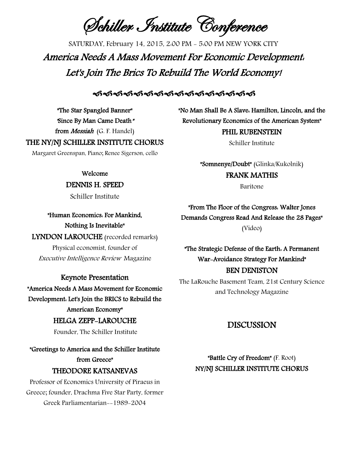Schiller Institute Conference

SATURDAY, February 14, 2015, 2:00 PM - 5:00 PM NEW YORK CITY America Needs A Mass Movement For Economic Development: Let's Join The Brics To Rebuild The World Economy!

## <u>କ୍ୟକ୍ୟକ୍ୟକ୍ୟକ୍ୟକ୍ୟକ୍ୟକ୍ୟକ୍ୟକ୍ୟକ୍ୟକ୍ୟ</u>

"The Star Spangled Banner" "Since By Man Came Death" from *Messiah* (G. F. Handel)

### THE NY/NJ SCHILLER INSTITUTE CHORUS

Margaret Greenspan, Piano; Renee Sigerson, cello

## Welcome

### DENNIS H. SPEED

Schiller Institute

"Human Economics: For Mankind, Nothing Is Inevitable"

LYNDON LAROUCHE (recorded remarks)

Physical economist, founder of Executive Intelligence Review Magazine

Keynote Presentation "America Needs A Mass Movement for Economic Development: Let's Join the BRICS to Rebuild the American Economy" HELGA ZEPP-LAROUCHE

Founder, The Schiller Institute

"Greetings to America and the Schiller Institute from Greece"

# THEODORE KATSANEVAS

Professor of Economics University of Piraeus in Greece; founder, Drachma Five Star Party, former Greek Parliamentarian--1989-2004

"No Man Shall Be A Slave: Hamilton, Lincoln, and the Revolutionary Economics of the American System" PHIL RUBENSTEIN

Schiller Institute

"Somnenye/Doubt" (Glinka/Kukolnik) FRANK MATHIS

Baritone

"From The Floor of the Congress: Walter Jones Demands Congress Read And Release the 28 Pages" (Video)

"The Strategic Defense of the Earth: A Permanent War-Avoidance Strategy For Mankind" BEN DENISTON

The LaRouche Basement Team, 21st Century Science and Technology Magazine

## DISCUSSION

"Battle Cry of Freedom" (F. Root) NY/NJ SCHILLER INSTITUTE CHORUS